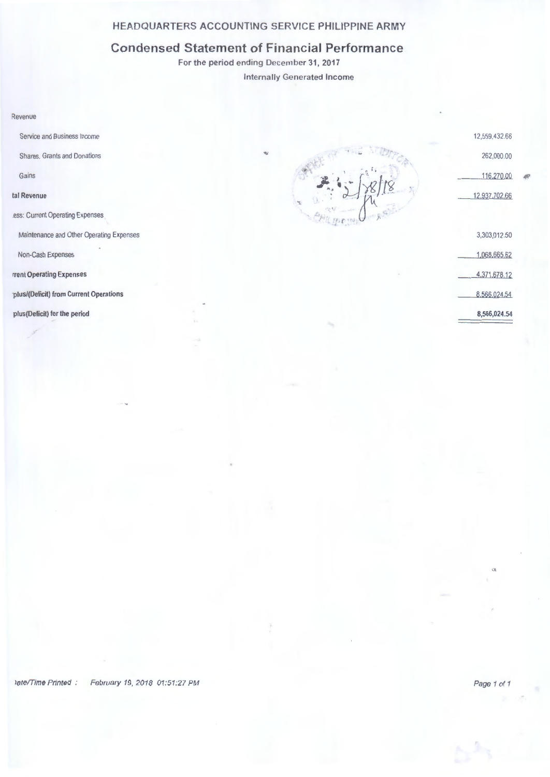## HEADQUARTERS ACCOUNTING SERVICE PHILIPPINE ARMY

## Condensed Statement of Financial Performance

For the period ending December 31, 2017

Internally Generated Income

#### Revenue

Service and Business Income

Shares, Grants and Donations

Gains

### tal Revenue

.ess: Current Operating Expenses

Maintenance and Other Operating Expenses

Non-Cash Expenses

rrent Operating Expenses

·plus/(Deficit) from Current Operations

plus(Deficit) for the period

262,000.00 116,27000 *n*  12,937,702.66 3,303,012.50 1,068,665.62 4,371.678.12 8 566,024.54 8,566,024.54

12,559.432.66

## Vate/Time Printed : February 19, 2018 01:51:27 PM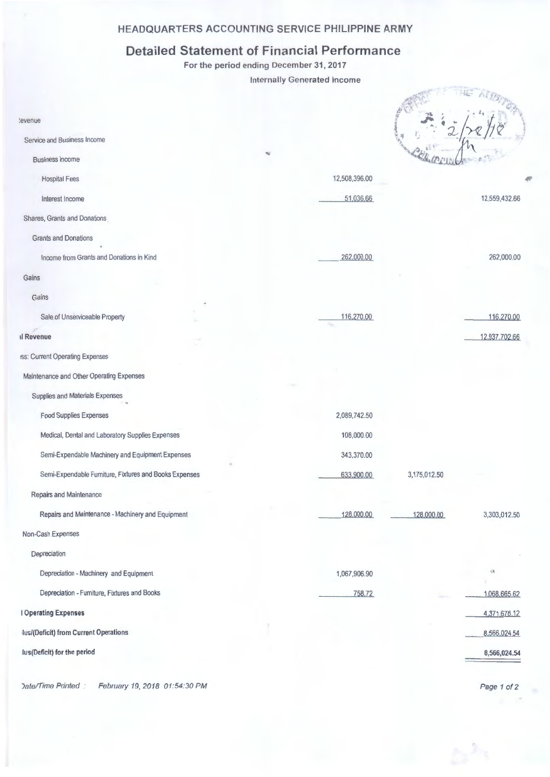## **HEADQUARTERS ACCOUNTING SERVICE PHILIPPINE ARMY**

# **Detailed Statement of Financial Performance**

For the period ending December 31, 2017

Internally Generated Income

| :evenue                                                |               |              |               |
|--------------------------------------------------------|---------------|--------------|---------------|
| Service and Business Income                            |               |              |               |
| <b>Business Income</b>                                 |               |              |               |
| <b>Hospital Fees</b>                                   | 12,508,396.00 |              |               |
| Interest Income                                        | 51,036.66     |              | 12,559,432.66 |
| Shares, Grants and Donations                           |               |              |               |
| <b>Grants and Donations</b>                            |               |              |               |
| Income from Grants and Donations in Kind               | 262,000.00    |              | 262,000.00    |
| Gains                                                  |               |              |               |
| Gains                                                  |               |              |               |
| Sale of Unserviceable Property                         | 116,270.00    |              | 116,270.00    |
| <b>Il Revenue</b>                                      |               |              | 12,937.702.66 |
| iss: Current Operating Expenses                        |               |              |               |
| Maintenance and Other Operating Expenses               |               |              |               |
| Supplies and Materials Expenses                        |               |              |               |
| <b>Food Supplies Expenses</b>                          | 2,089,742.50  |              |               |
| Medical, Dental and Laboratory Supplies Expenses       | 108,000.00    |              |               |
| Semi-Expendable Machinery and Equipment Expenses       | 343,370.00    |              |               |
| Semi-Expendable Furniture, Fixtures and Books Expenses | 633,900.00    | 3,175,012.50 |               |
| Repairs and Maintenance                                |               |              |               |
| Repairs and Maintenance - Machinery and Equipment      | 128,000.00    | 128,000.00   | 3,303,012.50  |
| Non-Cash Expenses                                      |               |              |               |
| Depreciation                                           |               |              |               |
| Depreciation - Machinery and Equipment                 | 1,067,906.90  |              | 議             |
| Depreciation - Furniture, Fixtures and Books           | 758.72        |              | 1,068,665.62  |
| <b>I Operating Expenses</b>                            |               |              | 4,371,678.12  |
| lus/(Deficit) from Current Operations                  |               |              | 8,566,024.54  |
| lus(Deficit) for the period                            |               |              | 8,566,024.54  |
|                                                        |               |              |               |

Date/Time Printed : February 19, 2018 01:54:30 PM

Page 1 of 2

 $\sigma_{\rm m}$  ,  $\sigma_{\rm m}$